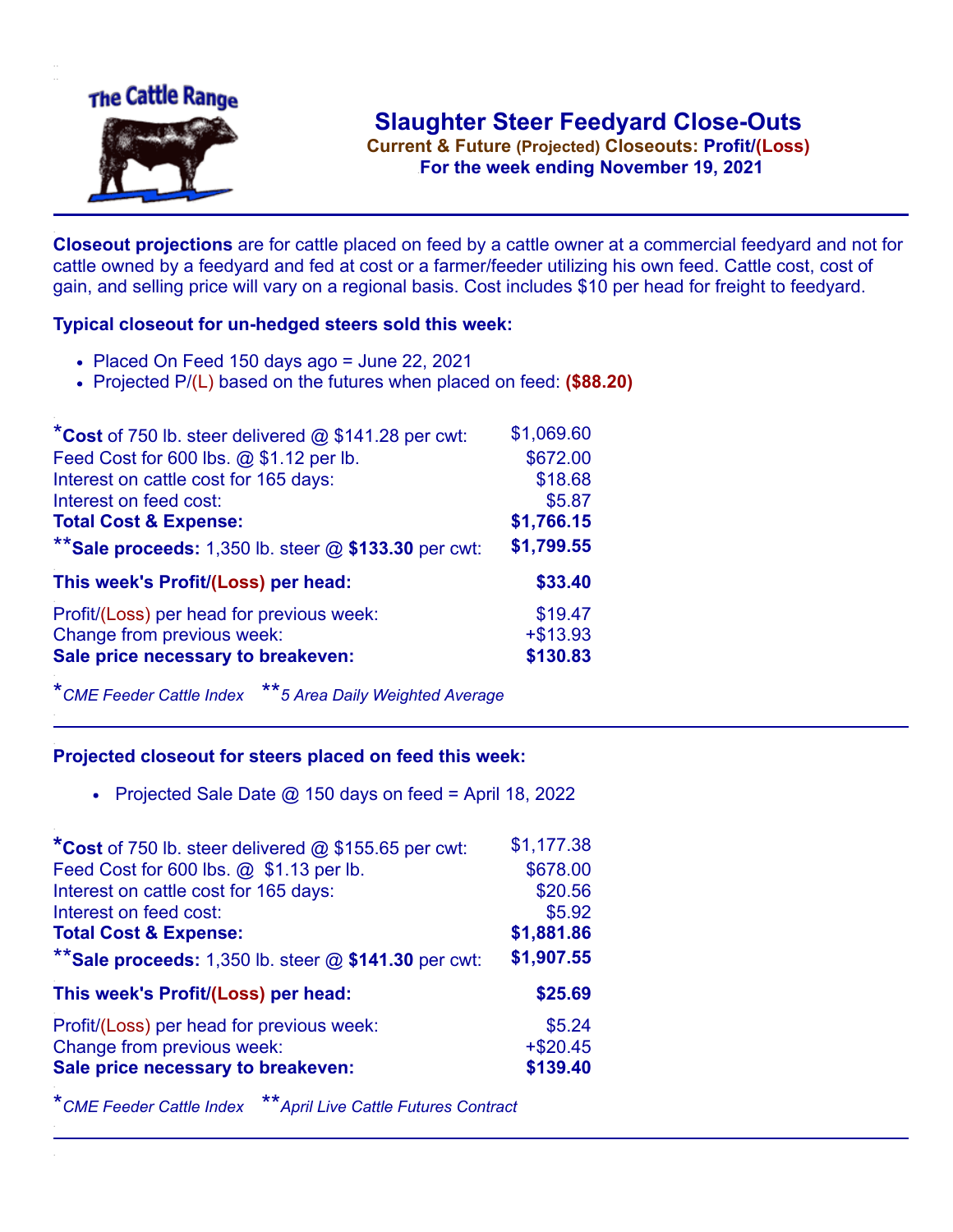

**Current & Future (Projected) Closeouts: Profit/(Loss)** .**For the week ending November 19, 2021**

**Closeout projections** are for cattle placed on feed by a cattle owner at a commercial feedyard and not for cattle owned by a feedyard and fed at cost or a farmer/feeder utilizing his own feed. Cattle cost, cost of gain, and selling price will vary on a regional basis. Cost includes \$10 per head for freight to feedyard.

## **Typical closeout for un-hedged steers sold this week:**

- Placed On Feed 150 days ago = June 22, 2021
- Projected P/(L) based on the futures when placed on feed: **(\$88.20)**

| *Cost of 750 lb. steer delivered $@$ \$141.28 per cwt:  | \$1,069.60 |
|---------------------------------------------------------|------------|
| Feed Cost for 600 lbs. @ \$1.12 per lb.                 | \$672.00   |
| Interest on cattle cost for 165 days:                   | \$18.68    |
| Interest on feed cost:                                  | \$5.87     |
| <b>Total Cost &amp; Expense:</b>                        | \$1,766.15 |
| ** Sale proceeds: 1,350 lb. steer $@$ \$133.30 per cwt: | \$1,799.55 |
| This week's Profit/(Loss) per head:                     | \$33.40    |
| Profit/(Loss) per head for previous week:               | \$19.47    |
| Change from previous week:                              | $+ $13.93$ |
| Sale price necessary to breakeven:                      | \$130.83   |

\**CME Feeder Cattle Index* \*\**5 Area Daily Weighted Average*

## **Projected closeout for steers placed on feed this week:**

• Projected Sale Date  $@$  150 days on feed = April 18, 2022

| *Cost of 750 lb. steer delivered @ \$155.65 per cwt:    | \$1,177.38 |
|---------------------------------------------------------|------------|
| Feed Cost for 600 lbs. @ \$1.13 per lb.                 | \$678.00   |
| Interest on cattle cost for 165 days:                   | \$20.56    |
| Interest on feed cost:                                  | \$5.92     |
| <b>Total Cost &amp; Expense:</b>                        | \$1,881.86 |
| ** Sale proceeds: 1,350 lb. steer $@$ \$141.30 per cwt: | \$1,907.55 |
| This week's Profit/(Loss) per head:                     | \$25.69    |
| Profit/(Loss) per head for previous week:               | \$5.24     |
| Change from previous week:                              | $+ $20.45$ |
| Sale price necessary to breakeven:                      | \$139.40   |

\**CME Feeder Cattle Index* \*\**April Live Cattle Futures Contract*